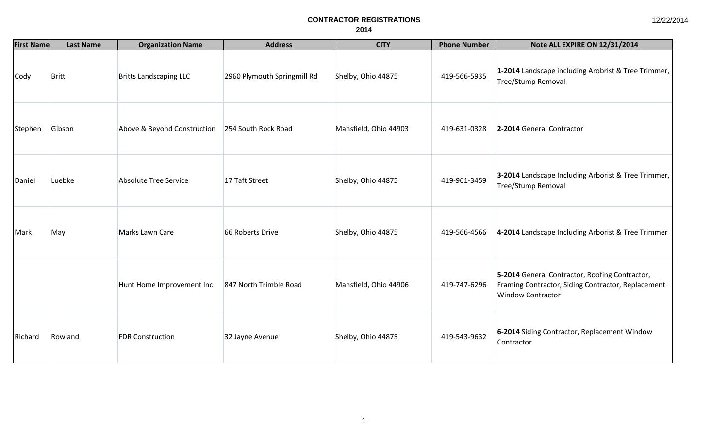| <b>First Name</b> | <b>Last Name</b> | <b>Organization Name</b>      | <b>Address</b>              | <b>CITY</b>           | <b>Phone Number</b> | Note ALL EXPIRE ON 12/31/2014                                                                                                    |
|-------------------|------------------|-------------------------------|-----------------------------|-----------------------|---------------------|----------------------------------------------------------------------------------------------------------------------------------|
| Cody              | <b>Britt</b>     | <b>Britts Landscaping LLC</b> | 2960 Plymouth Springmill Rd | Shelby, Ohio 44875    | 419-566-5935        | 1-2014 Landscape including Arobrist & Tree Trimmer,<br><b>Tree/Stump Removal</b>                                                 |
| Stephen           | Gibson           | Above & Beyond Construction   | 254 South Rock Road         | Mansfield, Ohio 44903 | 419-631-0328        | 2-2014 General Contractor                                                                                                        |
| Daniel            | Luebke           | <b>Absolute Tree Service</b>  | 17 Taft Street              | Shelby, Ohio 44875    | 419-961-3459        | 3-2014 Landscape Including Arborist & Tree Trimmer,<br><b>Tree/Stump Removal</b>                                                 |
| Mark              | May              | Marks Lawn Care               | 66 Roberts Drive            | Shelby, Ohio 44875    | 419-566-4566        | 4-2014 Landscape Including Arborist & Tree Trimmer                                                                               |
|                   |                  | Hunt Home Improvement Inc     | 847 North Trimble Road      | Mansfield, Ohio 44906 | 419-747-6296        | 5-2014 General Contractor, Roofing Contractor,<br>Framing Contractor, Siding Contractor, Replacement<br><b>Window Contractor</b> |
| Richard           | Rowland          | <b>FDR Construction</b>       | 32 Jayne Avenue             | Shelby, Ohio 44875    | 419-543-9632        | 6-2014 Siding Contractor, Replacement Window<br>Contractor                                                                       |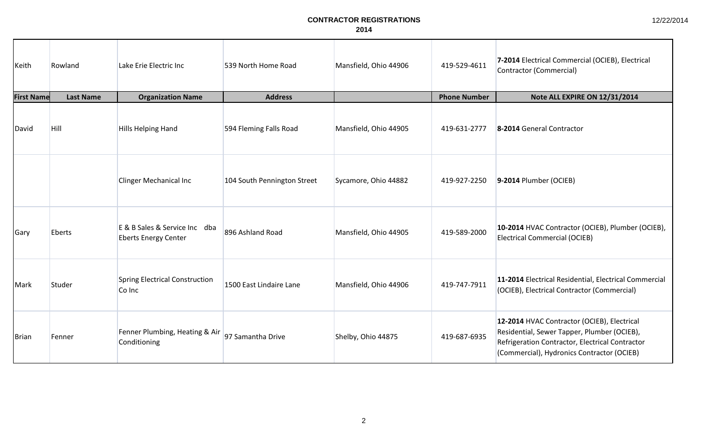| 12/22/2014 |  |  |
|------------|--|--|
|------------|--|--|

| Keith             | Rowland          | Lake Erie Electric Inc                                       | 539 North Home Road         | Mansfield, Ohio 44906 | 419-529-4611        | 7-2014 Electrical Commercial (OCIEB), Electrical<br>Contractor (Commercial)                                                                                                                 |
|-------------------|------------------|--------------------------------------------------------------|-----------------------------|-----------------------|---------------------|---------------------------------------------------------------------------------------------------------------------------------------------------------------------------------------------|
| <b>First Name</b> | <b>Last Name</b> | <b>Organization Name</b>                                     | <b>Address</b>              |                       | <b>Phone Number</b> | Note ALL EXPIRE ON 12/31/2014                                                                                                                                                               |
| David             | <b>Hill</b>      | <b>Hills Helping Hand</b>                                    | 594 Fleming Falls Road      | Mansfield, Ohio 44905 | 419-631-2777        | 8-2014 General Contractor                                                                                                                                                                   |
|                   |                  | <b>Clinger Mechanical Inc</b>                                | 104 South Pennington Street | Sycamore, Ohio 44882  | 419-927-2250        | 9-2014 Plumber (OCIEB)                                                                                                                                                                      |
| Gary              | <b>Eberts</b>    | E & B Sales & Service Inc dba<br><b>Eberts Energy Center</b> | 896 Ashland Road            | Mansfield, Ohio 44905 | 419-589-2000        | 10-2014 HVAC Contractor (OCIEB), Plumber (OCIEB),<br><b>Electrical Commercial (OCIEB)</b>                                                                                                   |
| Mark              | Studer           | <b>Spring Electrical Construction</b><br>Co Inc              | 1500 East Lindaire Lane     | Mansfield, Ohio 44906 | 419-747-7911        | 11-2014 Electrical Residential, Electrical Commercial<br>(OCIEB), Electrical Contractor (Commercial)                                                                                        |
| Brian             | Fenner           | Fenner Plumbing, Heating & Air<br>Conditioning               | 97 Samantha Drive           | Shelby, Ohio 44875    | 419-687-6935        | 12-2014 HVAC Contractor (OCIEB), Electrical<br>Residential, Sewer Tapper, Plumber (OCIEB),<br>Refrigeration Contractor, Electrical Contractor<br>(Commercial), Hydronics Contractor (OCIEB) |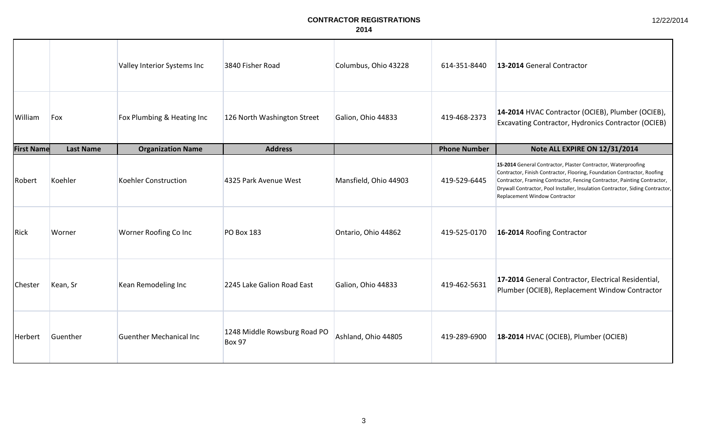|                   |                  | Valley Interior Systems Inc    | 3840 Fisher Road                              | Columbus, Ohio 43228  | 614-351-8440        | 13-2014 General Contractor                                                                                                                                                                                                                                                                                                             |
|-------------------|------------------|--------------------------------|-----------------------------------------------|-----------------------|---------------------|----------------------------------------------------------------------------------------------------------------------------------------------------------------------------------------------------------------------------------------------------------------------------------------------------------------------------------------|
| William           | Fox              | Fox Plumbing & Heating Inc     | 126 North Washington Street                   | Galion, Ohio 44833    | 419-468-2373        | 14-2014 HVAC Contractor (OCIEB), Plumber (OCIEB),<br><b>Excavating Contractor, Hydronics Contractor (OCIEB)</b>                                                                                                                                                                                                                        |
| <b>First Name</b> | <b>Last Name</b> | <b>Organization Name</b>       | <b>Address</b>                                |                       | <b>Phone Number</b> | Note ALL EXPIRE ON 12/31/2014                                                                                                                                                                                                                                                                                                          |
| Robert            | Koehler          | <b>Koehler Construction</b>    | 4325 Park Avenue West                         | Mansfield, Ohio 44903 | 419-529-6445        | 15-2014 General Contractor, Plaster Contractor, Waterproofing<br>Contractor, Finish Contractor, Flooring, Foundation Contractor, Roofing<br>Contractor, Framing Contractor, Fencing Contractor, Painting Contractor,<br>Drywall Contractor, Pool Installer, Insulation Contractor, Siding Contractor,<br>Replacement Window Contractor |
| Rick              | Worner           | Worner Roofing Co Inc          | <b>PO Box 183</b>                             | Ontario, Ohio 44862   | 419-525-0170        | 16-2014 Roofing Contractor                                                                                                                                                                                                                                                                                                             |
| Chester           | Kean, Sr         | Kean Remodeling Inc            | 2245 Lake Galion Road East                    | Galion, Ohio 44833    | 419-462-5631        | 17-2014 General Contractor, Electrical Residential,<br>Plumber (OCIEB), Replacement Window Contractor                                                                                                                                                                                                                                  |
| Herbert           | Guenther         | <b>Guenther Mechanical Inc</b> | 1248 Middle Rowsburg Road PO<br><b>Box 97</b> | Ashland, Ohio 44805   | 419-289-6900        | 18-2014 HVAC (OCIEB), Plumber (OCIEB)                                                                                                                                                                                                                                                                                                  |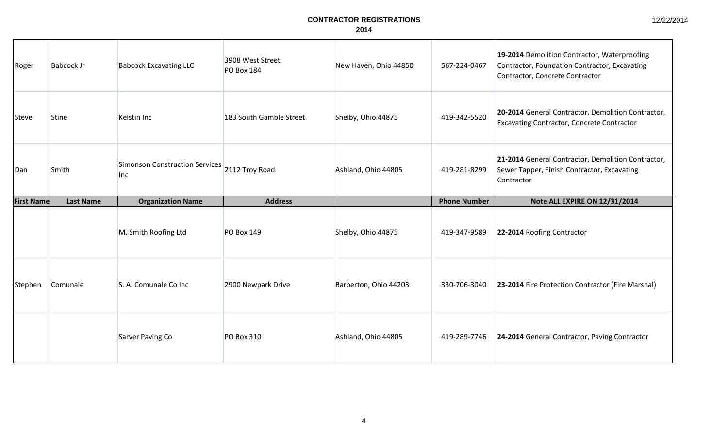| Roger             | <b>Babcock Jr</b> | <b>Babcock Excavating LLC</b>                               | 3908 West Street<br><b>PO Box 184</b> | New Haven, Ohio 44850 | 567-224-0467        | 19-2014 Demolition Contractor, Waterproofing<br>Contractor, Foundation Contractor, Excavating<br>Contractor, Concrete Contractor |
|-------------------|-------------------|-------------------------------------------------------------|---------------------------------------|-----------------------|---------------------|----------------------------------------------------------------------------------------------------------------------------------|
| Steve             | <b>Stine</b>      | Kelstin Inc                                                 | 183 South Gamble Street               | Shelby, Ohio 44875    | 419-342-5520        | 20-2014 General Contractor, Demolition Contractor,<br><b>Excavating Contractor, Concrete Contractor</b>                          |
| Dan               | Smith             | Simonson Construction Services 2112 Troy Road<br><b>Inc</b> |                                       | Ashland, Ohio 44805   | 419-281-8299        | 21-2014 General Contractor, Demolition Contractor,<br>Sewer Tapper, Finish Contractor, Excavating<br>Contractor                  |
| <b>First Name</b> | <b>Last Name</b>  | <b>Organization Name</b>                                    | <b>Address</b>                        |                       | <b>Phone Number</b> | Note ALL EXPIRE ON 12/31/2014                                                                                                    |
|                   |                   |                                                             |                                       |                       |                     |                                                                                                                                  |
|                   |                   | M. Smith Roofing Ltd                                        | <b>PO Box 149</b>                     | Shelby, Ohio 44875    | 419-347-9589        | 22-2014 Roofing Contractor                                                                                                       |
| Stephen           | Comunale          | S. A. Comunale Co Inc.                                      | 2900 Newpark Drive                    | Barberton, Ohio 44203 | 330-706-3040        | 23-2014 Fire Protection Contractor (Fire Marshal)                                                                                |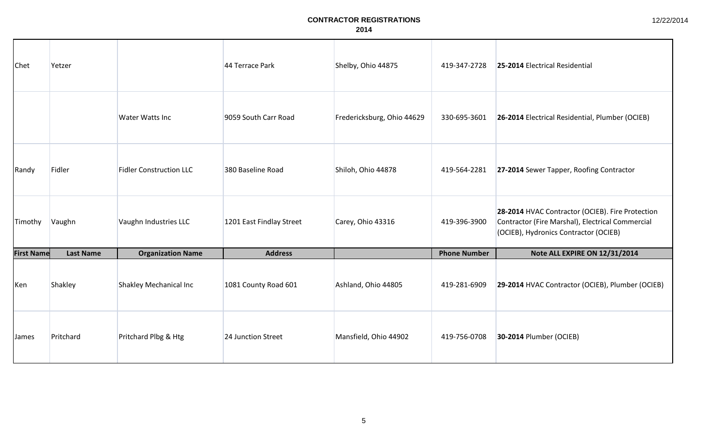| Chet              | Yetzer           |                                | 44 Terrace Park          | Shelby, Ohio 44875         | 419-347-2728        | 25-2014 Electrical Residential                                                                                                                |
|-------------------|------------------|--------------------------------|--------------------------|----------------------------|---------------------|-----------------------------------------------------------------------------------------------------------------------------------------------|
|                   |                  | Water Watts Inc                | 9059 South Carr Road     | Fredericksburg, Ohio 44629 | 330-695-3601        | 26-2014 Electrical Residential, Plumber (OCIEB)                                                                                               |
| Randy             | Fidler           | <b>Fidler Construction LLC</b> | 380 Baseline Road        | Shiloh, Ohio 44878         | 419-564-2281        | 27-2014 Sewer Tapper, Roofing Contractor                                                                                                      |
| Timothy           | Vaughn           | Vaughn Industries LLC          | 1201 East Findlay Street | Carey, Ohio 43316          | 419-396-3900        | 28-2014 HVAC Contractor (OCIEB). Fire Protection<br>Contractor (Fire Marshal), Electrical Commercial<br>(OCIEB), Hydronics Contractor (OCIEB) |
| <b>First Name</b> | <b>Last Name</b> | <b>Organization Name</b>       | <b>Address</b>           |                            | <b>Phone Number</b> | Note ALL EXPIRE ON 12/31/2014                                                                                                                 |
| Ken               | Shakley          | Shakley Mechanical Inc         | 1081 County Road 601     | Ashland, Ohio 44805        | 419-281-6909        | 29-2014 HVAC Contractor (OCIEB), Plumber (OCIEB)                                                                                              |
| James             | Pritchard        | Pritchard Plbg & Htg           | 24 Junction Street       | Mansfield, Ohio 44902      | 419-756-0708        | 30-2014 Plumber (OCIEB)                                                                                                                       |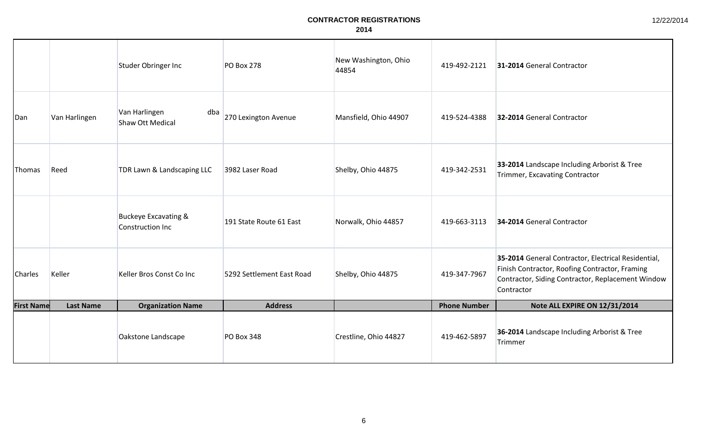|                   |                  | Studer Obringer Inc                                 | <b>PO Box 278</b>         | New Washington, Ohio<br>44854 | 419-492-2121        | 31-2014 General Contractor                                                                                                                                               |
|-------------------|------------------|-----------------------------------------------------|---------------------------|-------------------------------|---------------------|--------------------------------------------------------------------------------------------------------------------------------------------------------------------------|
| Dan               | Van Harlingen    | Van Harlingen<br>dba<br>Shaw Ott Medical            | 270 Lexington Avenue      | Mansfield, Ohio 44907         | 419-524-4388        | 32-2014 General Contractor                                                                                                                                               |
| Thomas            | Reed             | TDR Lawn & Landscaping LLC                          | 3982 Laser Road           | Shelby, Ohio 44875            | 419-342-2531        | 33-2014 Landscape Including Arborist & Tree<br>Trimmer, Excavating Contractor                                                                                            |
|                   |                  | <b>Buckeye Excavating &amp;</b><br>Construction Inc | 191 State Route 61 East   | Norwalk, Ohio 44857           | 419-663-3113        | 34-2014 General Contractor                                                                                                                                               |
| <b>Charles</b>    | Keller           | Keller Bros Const Co Inc                            | 5292 Settlement East Road | Shelby, Ohio 44875            | 419-347-7967        | 35-2014 General Contractor, Electrical Residential,<br>Finish Contractor, Roofing Contractor, Framing<br>Contractor, Siding Contractor, Replacement Window<br>Contractor |
| <b>First Name</b> | <b>Last Name</b> | <b>Organization Name</b>                            | <b>Address</b>            |                               | <b>Phone Number</b> | Note ALL EXPIRE ON 12/31/2014                                                                                                                                            |
|                   |                  | Oakstone Landscape                                  | <b>PO Box 348</b>         | Crestline, Ohio 44827         | 419-462-5897        | 36-2014 Landscape Including Arborist & Tree<br>Trimmer                                                                                                                   |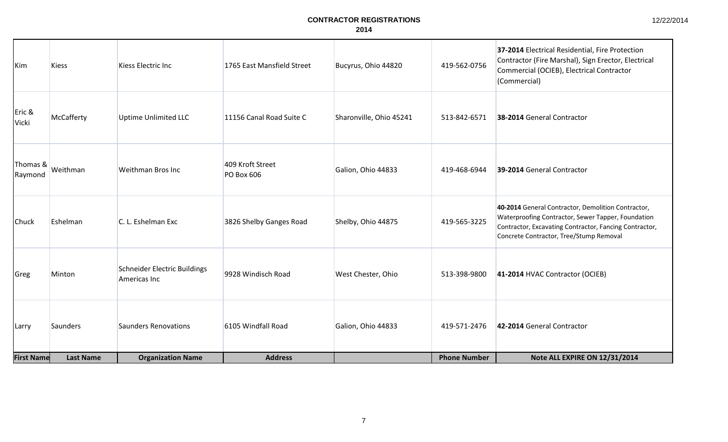| 12/22/2014 |
|------------|
|------------|

| Kim                 | <b>Kiess</b>     | Kiess Electric Inc                           | 1765 East Mansfield Street     | Bucyrus, Ohio 44820     | 419-562-0756        | 37-2014 Electrical Residential, Fire Protection<br>Contractor (Fire Marshal), Sign Erector, Electrical<br>Commercial (OCIEB), Electrical Contractor<br>(Commercial)                                           |
|---------------------|------------------|----------------------------------------------|--------------------------------|-------------------------|---------------------|---------------------------------------------------------------------------------------------------------------------------------------------------------------------------------------------------------------|
| Eric &<br>Vicki     | McCafferty       | <b>Uptime Unlimited LLC</b>                  | 11156 Canal Road Suite C       | Sharonville, Ohio 45241 | 513-842-6571        | 38-2014 General Contractor                                                                                                                                                                                    |
| Thomas &<br>Raymond | Weithman         | Weithman Bros Inc                            | 409 Kroft Street<br>PO Box 606 | Galion, Ohio 44833      | 419-468-6944        | 39-2014 General Contractor                                                                                                                                                                                    |
| Chuck               | Eshelman         | C. L. Eshelman Exc                           | 3826 Shelby Ganges Road        | Shelby, Ohio 44875      | 419-565-3225        | 40-2014 General Contractor, Demolition Contractor,<br>Waterproofing Contractor, Sewer Tapper, Foundation<br>Contractor, Excavating Contractor, Fancing Contractor,<br>Concrete Contractor, Tree/Stump Removal |
| Greg                | Minton           | Schneider Electric Buildings<br>Americas Inc | 9928 Windisch Road             | West Chester, Ohio      | 513-398-9800        | 41-2014 HVAC Contractor (OCIEB)                                                                                                                                                                               |
| Larry               | Saunders         | Saunders Renovations                         | 6105 Windfall Road             | Galion, Ohio 44833      | 419-571-2476        | 42-2014 General Contractor                                                                                                                                                                                    |
| <b>First Name</b>   | <b>Last Name</b> | <b>Organization Name</b>                     | <b>Address</b>                 |                         | <b>Phone Number</b> | Note ALL EXPIRE ON 12/31/2014                                                                                                                                                                                 |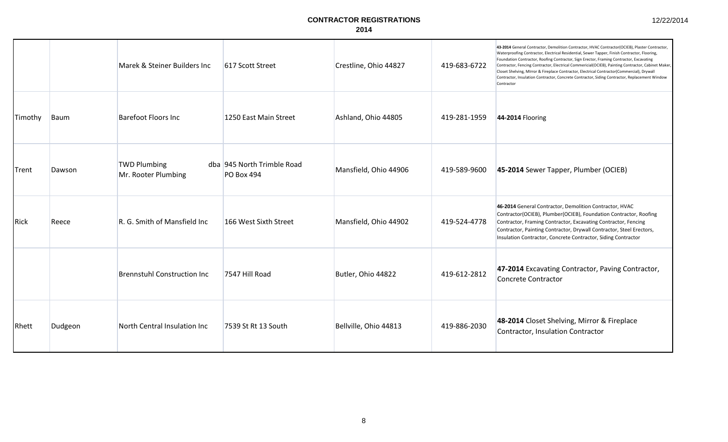|  | 12/22/2014 |  |
|--|------------|--|
|--|------------|--|

|         |         | Marek & Steiner Builders Inc               | 617 Scott Street                                | Crestline, Ohio 44827 | 419-683-6722 | 43-2014 General Contractor, Demolition Contractor, HVAC Contractor(OCIEB), Plaster Contractor,<br>Waterproofing Contractor, Electrical Residential, Sewer Tapper, Finish Contractor, Flooring,<br>Foundation Contractor, Roofing Contractor, Sign Erector, Framing Contractor, Excavating<br>Contractor, Fencing Contractor, Electrical Commericial(OCIEB), Painting Contractor, Cabinet Maker,<br>Closet Shelving, MIrror & Fireplace Contractor, Electrical Contractor(Commercial), Drywall<br>Contractor, Insulation Contractor, Concrete Contractor, Siding Contractor, Replacement Window<br>Contractor |
|---------|---------|--------------------------------------------|-------------------------------------------------|-----------------------|--------------|--------------------------------------------------------------------------------------------------------------------------------------------------------------------------------------------------------------------------------------------------------------------------------------------------------------------------------------------------------------------------------------------------------------------------------------------------------------------------------------------------------------------------------------------------------------------------------------------------------------|
| Timothy | Baum    | <b>Barefoot Floors Inc</b>                 | 1250 East Main Street                           | Ashland, Ohio 44805   | 419-281-1959 | 44-2014 Flooring                                                                                                                                                                                                                                                                                                                                                                                                                                                                                                                                                                                             |
| Trent   | Dawson  | <b>TWD Plumbing</b><br>Mr. Rooter Plumbing | dba 945 North Trimble Road<br><b>PO Box 494</b> | Mansfield, Ohio 44906 | 419-589-9600 | 45-2014 Sewer Tapper, Plumber (OCIEB)                                                                                                                                                                                                                                                                                                                                                                                                                                                                                                                                                                        |
| Rick    | Reece   | R. G. Smith of Mansfield Inc               | 166 West Sixth Street                           | Mansfield, Ohio 44902 | 419-524-4778 | 46-2014 General Contractor, Demolition Contractor, HVAC<br>Contractor(OCIEB), Plumber(OCIEB), Foundation Contractor, Roofing<br>Contractor, Framing Contractor, Excavating Contractor, Fencing<br>Contractor, Painting Contractor, Drywall Contractor, Steel Erectors,<br>Insulation Contractor, Concrete Contractor, Siding Contractor                                                                                                                                                                                                                                                                      |
|         |         | <b>Brennstuhl Construction Inc</b>         | 7547 Hill Road                                  | Butler, Ohio 44822    | 419-612-2812 | 47-2014 Excavating Contractor, Paving Contractor,<br>Concrete Contractor                                                                                                                                                                                                                                                                                                                                                                                                                                                                                                                                     |
| Rhett   | Dudgeon | North Central Insulation Inc               | 7539 St Rt 13 South                             | Bellville, Ohio 44813 | 419-886-2030 | 48-2014 Closet Shelving, Mirror & Fireplace<br>Contractor, Insulation Contractor                                                                                                                                                                                                                                                                                                                                                                                                                                                                                                                             |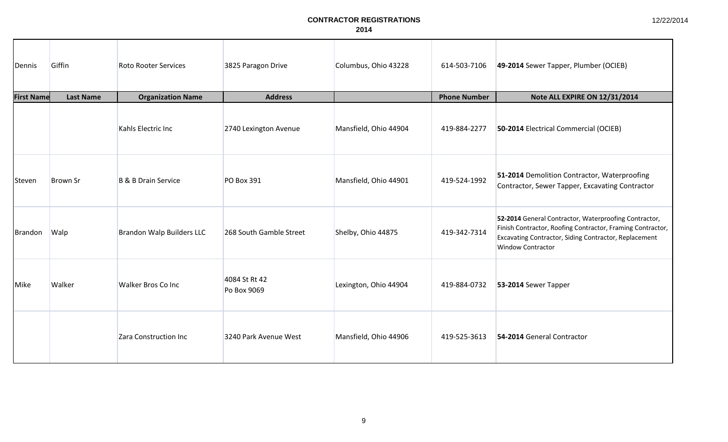| Dennis            | Giffin           | <b>Roto Rooter Services</b> | 3825 Paragon Drive           | Columbus, Ohio 43228  | 614-503-7106        | 49-2014 Sewer Tapper, Plumber (OCIEB)                                                                                                                                                                    |
|-------------------|------------------|-----------------------------|------------------------------|-----------------------|---------------------|----------------------------------------------------------------------------------------------------------------------------------------------------------------------------------------------------------|
| <b>First Name</b> | <b>Last Name</b> | <b>Organization Name</b>    | <b>Address</b>               |                       | <b>Phone Number</b> | Note ALL EXPIRE ON 12/31/2014                                                                                                                                                                            |
|                   |                  | Kahls Electric Inc          | 2740 Lexington Avenue        | Mansfield, Ohio 44904 | 419-884-2277        | 50-2014 Electrical Commercial (OCIEB)                                                                                                                                                                    |
| Steven            | <b>Brown Sr</b>  | B & B Drain Service         | PO Box 391                   | Mansfield, Ohio 44901 | 419-524-1992        | 51-2014 Demolition Contractor, Waterproofing<br>Contractor, Sewer Tapper, Excavating Contractor                                                                                                          |
| Brandon           | Walp             | Brandon Walp Builders LLC   | 268 South Gamble Street      | Shelby, Ohio 44875    | 419-342-7314        | 52-2014 General Contractor, Waterproofing Contractor,<br>Finish Contractor, Roofing Contractor, Framing Contractor,<br>Excavating Contractor, Siding Contractor, Replacement<br><b>Window Contractor</b> |
| Mike              | Walker           | Walker Bros Co Inc          | 4084 St Rt 42<br>Po Box 9069 | Lexington, Ohio 44904 | 419-884-0732        | 53-2014 Sewer Tapper                                                                                                                                                                                     |
|                   |                  | Zara Construction Inc       | 3240 Park Avenue West        | Mansfield, Ohio 44906 | 419-525-3613        | 54-2014 General Contractor                                                                                                                                                                               |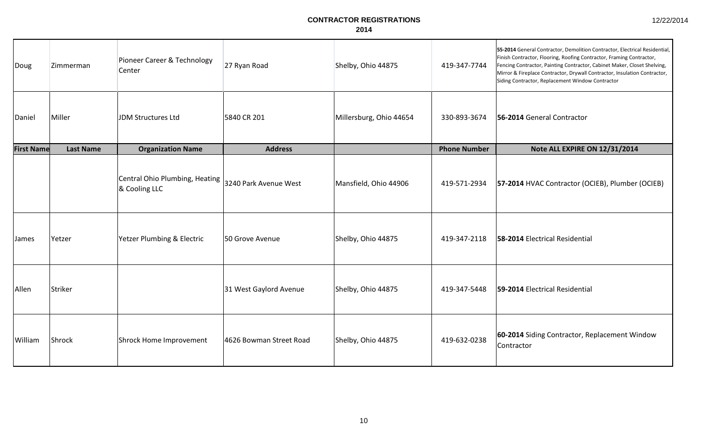| Doug              | Zimmerman        | Pioneer Career & Technology<br>Center           | 27 Ryan Road            | Shelby, Ohio 44875      | 419-347-7744        | 55-2014 General Contractor, Demolition Contractor, Electrical Residential,<br>Finish Contractor, Flooring, Roofing Contractor, Framing Contractor,<br>Fencing Contractor, Painting Contractor, Cabinet Maker, Closet Shelving,<br>Mirror & Fireplace Contractor, Drywall Contractor, Insulation Contractor,<br>Siding Contractor, Replacement Window Contractor |
|-------------------|------------------|-------------------------------------------------|-------------------------|-------------------------|---------------------|-----------------------------------------------------------------------------------------------------------------------------------------------------------------------------------------------------------------------------------------------------------------------------------------------------------------------------------------------------------------|
| Daniel            | Miller           | <b>JDM Structures Ltd</b>                       | 5840 CR 201             | Millersburg, Ohio 44654 | 330-893-3674        | 56-2014 General Contractor                                                                                                                                                                                                                                                                                                                                      |
| <b>First Name</b> | <b>Last Name</b> | <b>Organization Name</b>                        | <b>Address</b>          |                         | <b>Phone Number</b> | Note ALL EXPIRE ON 12/31/2014                                                                                                                                                                                                                                                                                                                                   |
|                   |                  | Central Ohio Plumbing, Heating<br>& Cooling LLC | 3240 Park Avenue West   | Mansfield, Ohio 44906   | 419-571-2934        | 57-2014 HVAC Contractor (OCIEB), Plumber (OCIEB)                                                                                                                                                                                                                                                                                                                |
| <b>James</b>      | Yetzer           | Yetzer Plumbing & Electric                      | 50 Grove Avenue         | Shelby, Ohio 44875      | 419-347-2118        | 58-2014 Electrical Residential                                                                                                                                                                                                                                                                                                                                  |
| Allen             | Striker          |                                                 | 31 West Gaylord Avenue  | Shelby, Ohio 44875      | 419-347-5448        | 59-2014 Electrical Residential                                                                                                                                                                                                                                                                                                                                  |
| William           | Shrock           | Shrock Home Improvement                         | 4626 Bowman Street Road | Shelby, Ohio 44875      | 419-632-0238        | 60-2014 Siding Contractor, Replacement Window<br>Contractor                                                                                                                                                                                                                                                                                                     |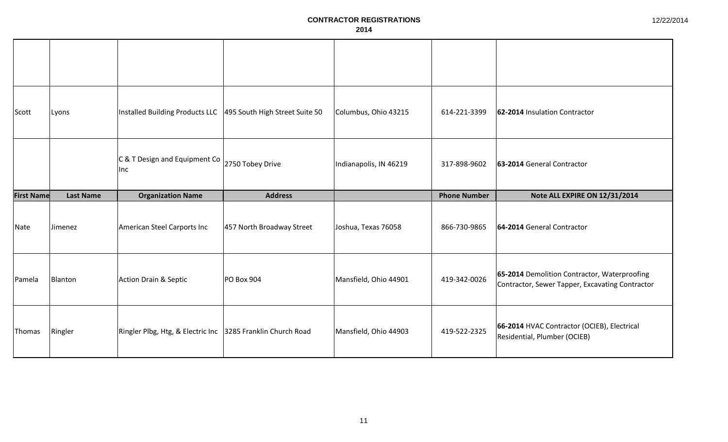| 12/22/2014 |
|------------|
|------------|

| Scott             | Lyons            | Installed Building Products LLC   495 South High Street Suite 50 |                           | Columbus, Ohio 43215   | 614-221-3399        | 62-2014 Insulation Contractor                                                                   |
|-------------------|------------------|------------------------------------------------------------------|---------------------------|------------------------|---------------------|-------------------------------------------------------------------------------------------------|
|                   |                  | C & T Design and Equipment Co<br>llnc.                           | 2750 Tobey Drive          | Indianapolis, IN 46219 | 317-898-9602        | 63-2014 General Contractor                                                                      |
| <b>First Name</b> | <b>Last Name</b> | <b>Organization Name</b>                                         | <b>Address</b>            |                        | <b>Phone Number</b> | Note ALL EXPIRE ON 12/31/2014                                                                   |
|                   |                  |                                                                  |                           |                        |                     |                                                                                                 |
| Nate              | Jimenez          | American Steel Carports Inc                                      | 457 North Broadway Street | Joshua, Texas 76058    | 866-730-9865        | 64-2014 General Contractor                                                                      |
| Pamela            | Blanton          | Action Drain & Septic                                            | PO Box 904                | Mansfield, Ohio 44901  | 419-342-0026        | 65-2014 Demolition Contractor, Waterproofing<br>Contractor, Sewer Tapper, Excavating Contractor |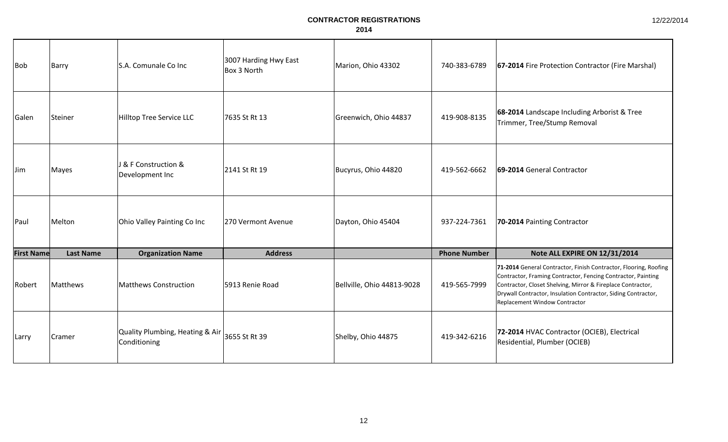| <b>Bob</b>        | Barry            | S.A. Comunale Co Inc                            | 3007 Harding Hwy East<br>Box 3 North | Marion, Ohio 43302         | 740-383-6789        | 67-2014 Fire Protection Contractor (Fire Marshal)                                                                                                                                                                                                                                                 |
|-------------------|------------------|-------------------------------------------------|--------------------------------------|----------------------------|---------------------|---------------------------------------------------------------------------------------------------------------------------------------------------------------------------------------------------------------------------------------------------------------------------------------------------|
| Galen             | Steiner          | Hilltop Tree Service LLC                        | 7635 St Rt 13                        | Greenwich, Ohio 44837      | 419-908-8135        | 68-2014 Landscape Including Arborist & Tree<br>Trimmer, Tree/Stump Removal                                                                                                                                                                                                                        |
| Jim               | Mayes            | J & F Construction &<br>Development Inc         | 2141 St Rt 19                        | Bucyrus, Ohio 44820        | 419-562-6662        | 69-2014 General Contractor                                                                                                                                                                                                                                                                        |
| Paul              | Melton           | Ohio Valley Painting Co Inc                     | 270 Vermont Avenue                   | Dayton, Ohio 45404         | 937-224-7361        | 70-2014 Painting Contractor                                                                                                                                                                                                                                                                       |
| <b>First Name</b> | <b>Last Name</b> | <b>Organization Name</b>                        | <b>Address</b>                       |                            | <b>Phone Number</b> | Note ALL EXPIRE ON 12/31/2014                                                                                                                                                                                                                                                                     |
| Robert            | Matthews         | <b>Matthews Construction</b>                    | 5913 Renie Road                      | Bellville, Ohio 44813-9028 | 419-565-7999        | 71-2014 General Contractor, Finish Contractor, Flooring, Roofing<br>Contractor, Framing Contractor, Fencing Contractor, Painting<br>Contractor, Closet Shelving, Mirror & Fireplace Contractor,<br>Drywall Contractor, Insulation Contractor, Siding Contractor,<br>Replacement Window Contractor |
| Larry             | Cramer           | Quality Plumbing, Heating & Air<br>Conditioning | 3655 St Rt 39                        | Shelby, Ohio 44875         | 419-342-6216        | 72-2014 HVAC Contractor (OCIEB), Electrical<br>Residential, Plumber (OCIEB)                                                                                                                                                                                                                       |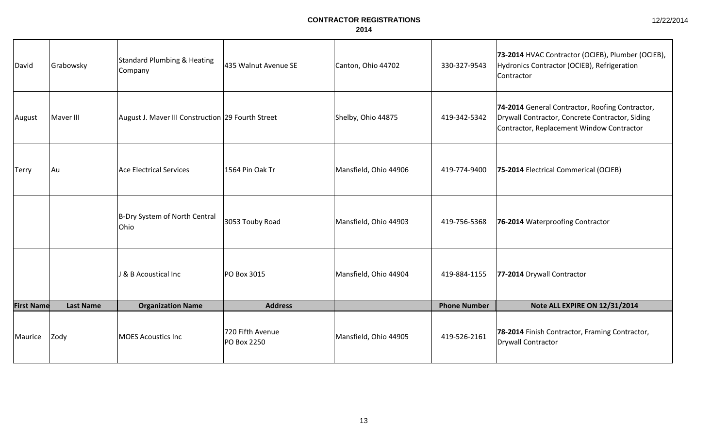| David             | Grabowsky        | <b>Standard Plumbing &amp; Heating</b><br>Company | 435 Walnut Avenue SE            | Canton, Ohio 44702    | 330-327-9543        | 73-2014 HVAC Contractor (OCIEB), Plumber (OCIEB),<br>Hydronics Contractor (OCIEB), Refrigeration<br>Contractor                                  |
|-------------------|------------------|---------------------------------------------------|---------------------------------|-----------------------|---------------------|-------------------------------------------------------------------------------------------------------------------------------------------------|
| August            | Maver III        | August J. Maver III Construction 29 Fourth Street |                                 | Shelby, Ohio 44875    | 419-342-5342        | 74-2014 General Contractor, Roofing Contractor,<br>Drywall Contractor, Concrete Contractor, Siding<br>Contractor, Replacement Window Contractor |
| <b>Terry</b>      | Au               | Ace Electrical Services                           | 1564 Pin Oak Tr                 | Mansfield, Ohio 44906 | 419-774-9400        | 75-2014 Electrical Commerical (OCIEB)                                                                                                           |
|                   |                  | B-Dry System of North Central<br>Ohio             | 3053 Touby Road                 | Mansfield, Ohio 44903 | 419-756-5368        | 76-2014 Waterproofing Contractor                                                                                                                |
|                   |                  | J & B Acoustical Inc                              | PO Box 3015                     | Mansfield, Ohio 44904 | 419-884-1155        | 77-2014 Drywall Contractor                                                                                                                      |
| <b>First Name</b> | <b>Last Name</b> | <b>Organization Name</b>                          | <b>Address</b>                  |                       | <b>Phone Number</b> | Note ALL EXPIRE ON 12/31/2014                                                                                                                   |
| Maurice           | Zody             | <b>MOES Acoustics Inc</b>                         | 720 Fifth Avenue<br>PO Box 2250 | Mansfield, Ohio 44905 | 419-526-2161        | 78-2014 Finish Contractor, Framing Contractor,<br>Drywall Contractor                                                                            |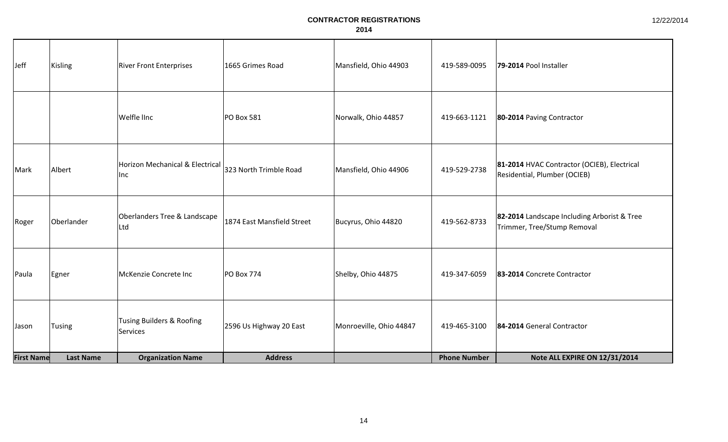| Jeff              | Kisling          | <b>River Front Enterprises</b>               | 1665 Grimes Road           | Mansfield, Ohio 44903   | 419-589-0095        | 79-2014 Pool Installer                                                      |
|-------------------|------------------|----------------------------------------------|----------------------------|-------------------------|---------------------|-----------------------------------------------------------------------------|
|                   |                  | Welfle linc                                  | PO Box 581                 | Norwalk, Ohio 44857     | 419-663-1121        | 80-2014 Paving Contractor                                                   |
| Mark              | Albert           | Horizon Mechanical & Electrical<br>Inc       | 323 North Trimble Road     | Mansfield, Ohio 44906   | 419-529-2738        | 81-2014 HVAC Contractor (OCIEB), Electrical<br>Residential, Plumber (OCIEB) |
| Roger             | Oberlander       | Oberlanders Tree & Landscape<br>Ltd          | 1874 East Mansfield Street | Bucyrus, Ohio 44820     | 419-562-8733        | 82-2014 Landscape Including Arborist & Tree<br>Trimmer, Tree/Stump Removal  |
| Paula             | Egner            | McKenzie Concrete Inc                        | <b>PO Box 774</b>          | Shelby, Ohio 44875      | 419-347-6059        | 83-2014 Concrete Contractor                                                 |
| Jason             | <b>Tusing</b>    | Tusing Builders & Roofing<br><b>Services</b> | 2596 Us Highway 20 East    | Monroeville, Ohio 44847 | 419-465-3100        | 84-2014 General Contractor                                                  |
| <b>First Name</b> | <b>Last Name</b> | <b>Organization Name</b>                     | <b>Address</b>             |                         | <b>Phone Number</b> | Note ALL EXPIRE ON 12/31/2014                                               |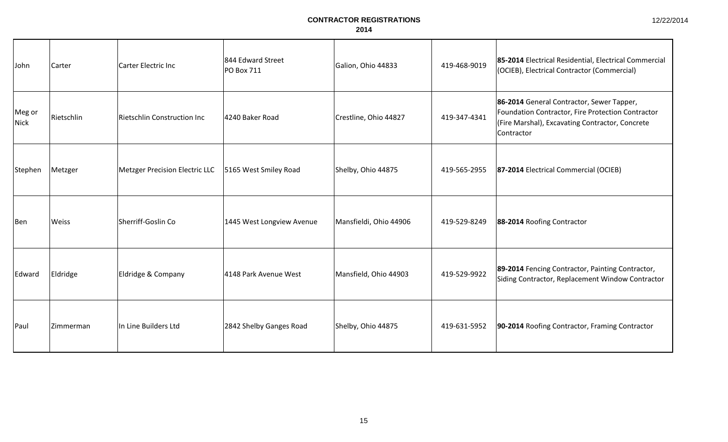| John                  | Carter       | Carter Electric Inc                   | 844 Edward Street<br><b>PO Box 711</b> | Galion, Ohio 44833     | 419-468-9019 | 85-2014 Electrical Residential, Electrical Commercial<br>(OCIEB), Electrical Contractor (Commercial)                                                            |
|-----------------------|--------------|---------------------------------------|----------------------------------------|------------------------|--------------|-----------------------------------------------------------------------------------------------------------------------------------------------------------------|
| Meg or<br><b>Nick</b> | Rietschlin   | <b>Rietschlin Construction Inc</b>    | 4240 Baker Road                        | Crestline, Ohio 44827  | 419-347-4341 | 86-2014 General Contractor, Sewer Tapper,<br>Foundation Contractor, Fire Protection Contractor<br>(Fire Marshal), Excavating Contractor, Concrete<br>Contractor |
| Stephen               | Metzger      | <b>Metzger Precision Electric LLC</b> | 5165 West Smiley Road                  | Shelby, Ohio 44875     | 419-565-2955 | 87-2014 Electrical Commercial (OCIEB)                                                                                                                           |
| Ben                   | <b>Weiss</b> | Sherriff-Goslin Co                    | 1445 West Longview Avenue              | Mansfieldi, Ohio 44906 | 419-529-8249 | 88-2014 Roofing Contractor                                                                                                                                      |
| Edward                | Eldridge     | Eldridge & Company                    | 4148 Park Avenue West                  | Mansfield, Ohio 44903  | 419-529-9922 | 89-2014 Fencing Contractor, Painting Contractor,<br>Siding Contractor, Replacement Window Contractor                                                            |
| <b>Paul</b>           | Zimmerman    | In Line Builders Ltd                  | 2842 Shelby Ganges Road                | Shelby, Ohio 44875     | 419-631-5952 | 90-2014 Roofing Contractor, Framing Contractor                                                                                                                  |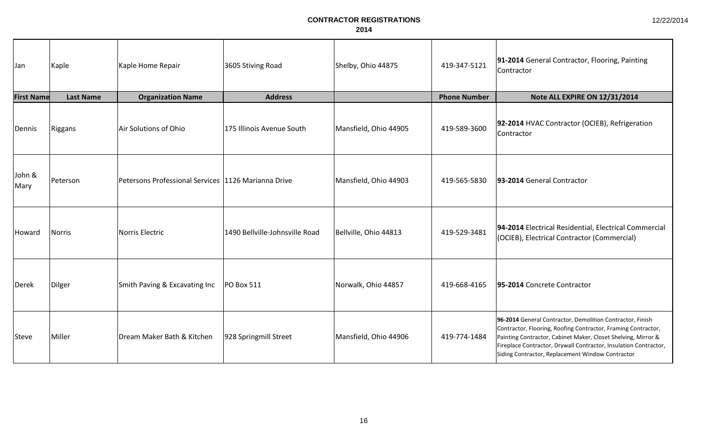| 12/22/2014 |  |
|------------|--|
|------------|--|

| Jan               | Kaple            | Kaple Home Repair                                     | 3605 Stiving Road              | Shelby, Ohio 44875    | 419-347-5121        | 91-2014 General Contractor, Flooring, Painting<br>Contractor                                                                                                                                                                                                                                                        |
|-------------------|------------------|-------------------------------------------------------|--------------------------------|-----------------------|---------------------|---------------------------------------------------------------------------------------------------------------------------------------------------------------------------------------------------------------------------------------------------------------------------------------------------------------------|
| <b>First Name</b> | <b>Last Name</b> | <b>Organization Name</b>                              | <b>Address</b>                 |                       | <b>Phone Number</b> | Note ALL EXPIRE ON 12/31/2014                                                                                                                                                                                                                                                                                       |
| Dennis            | Riggans          | Air Solutions of Ohio                                 | 175 Illinois Avenue South      | Mansfield, Ohio 44905 | 419-589-3600        | 92-2014 HVAC Contractor (OCIEB), Refrigeration<br>Contractor                                                                                                                                                                                                                                                        |
| John &<br>Mary    | Peterson         | Petersons Professional Services   1126 Marianna Drive |                                | Mansfield, Ohio 44903 | 419-565-5830        | 93-2014 General Contractor                                                                                                                                                                                                                                                                                          |
| Howard            | Norris           | Norris Electric                                       | 1490 Bellville-Johnsville Road | Bellville, Ohio 44813 | 419-529-3481        | 94-2014 Electrical Residential, Electrical Commercial<br>(OCIEB), Electrical Contractor (Commercial)                                                                                                                                                                                                                |
| Derek             | Dilger           | Smith Paving & Excavating Inc                         | <b>PO Box 511</b>              | Norwalk, Ohio 44857   | 419-668-4165        | 95-2014 Concrete Contractor                                                                                                                                                                                                                                                                                         |
| <b>Steve</b>      | Miller           | Dream Maker Bath & Kitchen                            | 928 Springmill Street          | Mansfield, Ohio 44906 | 419-774-1484        | 96-2014 General Contractor, Demolition Contractor, Finish<br>Contractor, Flooring, Roofing Contractor, Framing Contractor,<br>Painting Contractor, Cabinet Maker, Closet Shelving, Mirror &<br>Fireplace Contractor, Drywall Contractor, Insulation Contractor,<br>Siding Contractor, Replacement Window Contractor |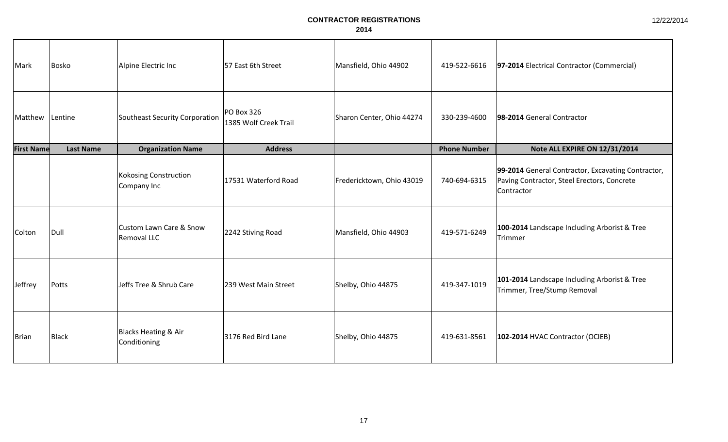| Mark              | Bosko            | Alpine Electric Inc                               | 57 East 6th Street                  | Mansfield, Ohio 44902     | 419-522-6616        | 97-2014 Electrical Contractor (Commercial)                                                                      |
|-------------------|------------------|---------------------------------------------------|-------------------------------------|---------------------------|---------------------|-----------------------------------------------------------------------------------------------------------------|
| Matthew           | Lentine          | Southeast Security Corporation                    | PO Box 326<br>1385 Wolf Creek Trail | Sharon Center, Ohio 44274 | 330-239-4600        | 98-2014 General Contractor                                                                                      |
| <b>First Name</b> | <b>Last Name</b> | <b>Organization Name</b>                          | <b>Address</b>                      |                           | <b>Phone Number</b> | Note ALL EXPIRE ON 12/31/2014                                                                                   |
|                   |                  | <b>Kokosing Construction</b><br>Company Inc       | 17531 Waterford Road                | Fredericktown, Ohio 43019 | 740-694-6315        | 99-2014 General Contractor, Excavating Contractor,<br>Paving Contractor, Steel Erectors, Concrete<br>Contractor |
| Colton            | Dull             | <b>Custom Lawn Care &amp; Snow</b><br>Removal LLC | 2242 Stiving Road                   | Mansfield, Ohio 44903     | 419-571-6249        | 100-2014 Landscape Including Arborist & Tree<br>Trimmer                                                         |
| Jeffrey           | Potts            | Jeffs Tree & Shrub Care                           | 239 West Main Street                | Shelby, Ohio 44875        | 419-347-1019        | 101-2014 Landscape Including Arborist & Tree<br>Trimmer, Tree/Stump Removal                                     |
| <b>Brian</b>      | Black            | <b>Blacks Heating &amp; Air</b><br>Conditioning   | 3176 Red Bird Lane                  | Shelby, Ohio 44875        | 419-631-8561        | 102-2014 HVAC Contractor (OCIEB)                                                                                |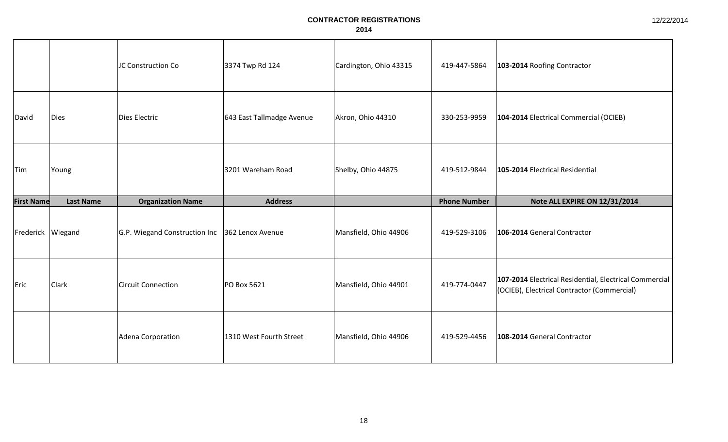|                   |                  | JC Construction Co                             | 3374 Twp Rd 124           | Cardington, Ohio 43315 | 419-447-5864        | 103-2014 Roofing Contractor                                                                           |
|-------------------|------------------|------------------------------------------------|---------------------------|------------------------|---------------------|-------------------------------------------------------------------------------------------------------|
| David             | Dies             | Dies Electric                                  | 643 East Tallmadge Avenue | Akron, Ohio 44310      | 330-253-9959        | 104-2014 Electrical Commercial (OCIEB)                                                                |
| <b>Tim</b>        | Young            |                                                | 3201 Wareham Road         | Shelby, Ohio 44875     | 419-512-9844        | 105-2014 Electrical Residential                                                                       |
| <b>First Name</b> | <b>Last Name</b> | <b>Organization Name</b>                       | <b>Address</b>            |                        | <b>Phone Number</b> | Note ALL EXPIRE ON 12/31/2014                                                                         |
| Frederick Wiegand |                  | G.P. Wiegand Construction Inc 362 Lenox Avenue |                           | Mansfield, Ohio 44906  | 419-529-3106        | 106-2014 General Contractor                                                                           |
| Eric              | Clark            | <b>Circuit Connection</b>                      | PO Box 5621               | Mansfield, Ohio 44901  | 419-774-0447        | 107-2014 Electrical Residential, Electrical Commercial<br>(OCIEB), Electrical Contractor (Commercial) |
|                   |                  | Adena Corporation                              | 1310 West Fourth Street   | Mansfield, Ohio 44906  | 419-529-4456        | 108-2014 General Contractor                                                                           |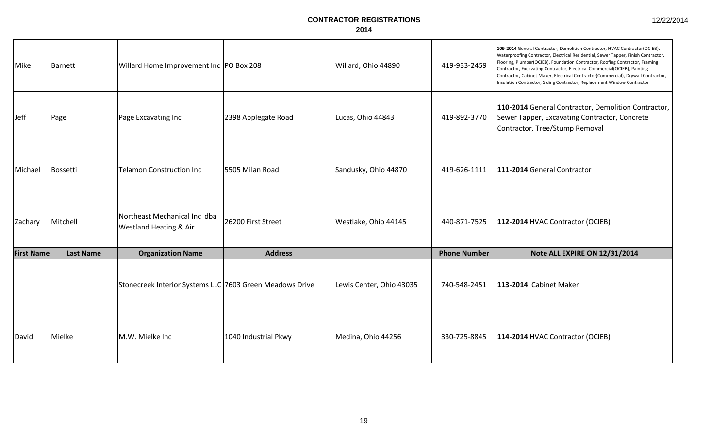| Mike              | <b>Barnett</b>   | Willard Home Improvement Inc   PO Box 208                |                      | Willard, Ohio 44890      | 419-933-2459        | 109-2014 General Contractor, Demolition Contractor, HVAC Contractor(OCIEB),<br>Waterproofing Contractor, Electrical Residential, Sewer Tapper, Finish Contractor,<br>Flooring, Plumber(OCIEB), Foundation Contractor, Roofing Contractor, Framing<br>Contractor, Excavating Contractor, Electrical Commercial(OCIEB), Painting<br>Contractor, Cabinet Maker, Electrical Contractor(Commercial), Drywall Contractor,<br>Insulation Contractor, Siding Contractor, Replacement Window Contractor |
|-------------------|------------------|----------------------------------------------------------|----------------------|--------------------------|---------------------|------------------------------------------------------------------------------------------------------------------------------------------------------------------------------------------------------------------------------------------------------------------------------------------------------------------------------------------------------------------------------------------------------------------------------------------------------------------------------------------------|
| Jeff              | Page             | Page Excavating Inc                                      | 2398 Applegate Road  | Lucas, Ohio 44843        | 419-892-3770        | 110-2014 General Contractor, Demolition Contractor,<br>Sewer Tapper, Excavating Contractor, Concrete<br>Contractor, Tree/Stump Removal                                                                                                                                                                                                                                                                                                                                                         |
| Michael           | Bossetti         | <b>Telamon Construction Inc</b>                          | 5505 Milan Road      | Sandusky, Ohio 44870     | 419-626-1111        | 111-2014 General Contractor                                                                                                                                                                                                                                                                                                                                                                                                                                                                    |
| Zachary           | Mitchell         | Northeast Mechanical Inc dba<br>Westland Heating & Air   | 26200 First Street   | Westlake, Ohio 44145     | 440-871-7525        | 112-2014 HVAC Contractor (OCIEB)                                                                                                                                                                                                                                                                                                                                                                                                                                                               |
| <b>First Name</b> | <b>Last Name</b> | <b>Organization Name</b>                                 | <b>Address</b>       |                          | <b>Phone Number</b> | Note ALL EXPIRE ON 12/31/2014                                                                                                                                                                                                                                                                                                                                                                                                                                                                  |
|                   |                  | Stonecreek Interior Systems LLC 7603 Green Meadows Drive |                      | Lewis Center, Ohio 43035 | 740-548-2451        | 113-2014 Cabinet Maker                                                                                                                                                                                                                                                                                                                                                                                                                                                                         |
| David             | Mielke           | M.W. Mielke Inc                                          | 1040 Industrial Pkwy | Medina, Ohio 44256       | 330-725-8845        | 114-2014 HVAC Contractor (OCIEB)                                                                                                                                                                                                                                                                                                                                                                                                                                                               |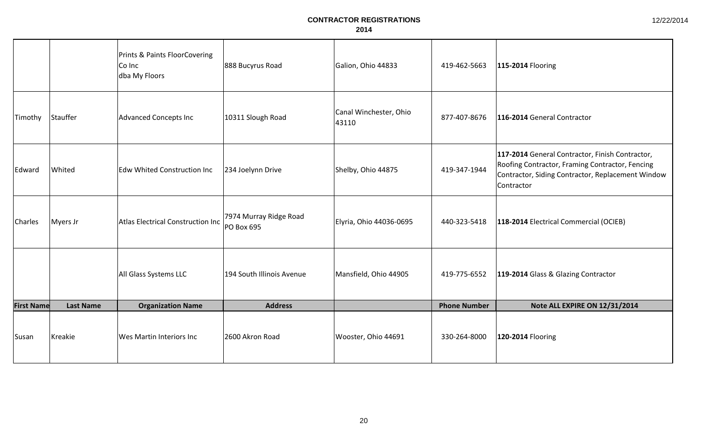|                   |                  | Prints & Paints FloorCovering<br>Co Inc<br>dba My Floors | 888 Bucyrus Road                     | Galion, Ohio 44833              | 419-462-5663        | 115-2014 Flooring                                                                                                                                                     |
|-------------------|------------------|----------------------------------------------------------|--------------------------------------|---------------------------------|---------------------|-----------------------------------------------------------------------------------------------------------------------------------------------------------------------|
| Timothy           | Stauffer         | <b>Advanced Concepts Inc</b>                             | 10311 Slough Road                    | Canal Winchester, Ohio<br>43110 | 877-407-8676        | 116-2014 General Contractor                                                                                                                                           |
| Edward            | Whited           | <b>Edw Whited Construction Inc</b>                       | 234 Joelynn Drive                    | Shelby, Ohio 44875              | 419-347-1944        | 117-2014 General Contractor, Finish Contractor,<br>Roofing Contractor, Framing Contractor, Fencing<br>Contractor, Siding Contractor, Replacement Window<br>Contractor |
| <b>Charles</b>    | Myers Jr         | Atlas Electrical Construction Inc                        | 7974 Murray Ridge Road<br>PO Box 695 | Elyria, Ohio 44036-0695         | 440-323-5418        | 118-2014 Electrical Commercial (OCIEB)                                                                                                                                |
|                   |                  | All Glass Systems LLC                                    | 194 South Illinois Avenue            | Mansfield, Ohio 44905           | 419-775-6552        | 119-2014 Glass & Glazing Contractor                                                                                                                                   |
| <b>First Name</b> | <b>Last Name</b> | <b>Organization Name</b>                                 | <b>Address</b>                       |                                 | <b>Phone Number</b> | Note ALL EXPIRE ON 12/31/2014                                                                                                                                         |
| Susan             | Kreakie          | <b>Wes Martin Interiors Inc</b>                          | 2600 Akron Road                      | Wooster, Ohio 44691             | 330-264-8000        | 120-2014 Flooring                                                                                                                                                     |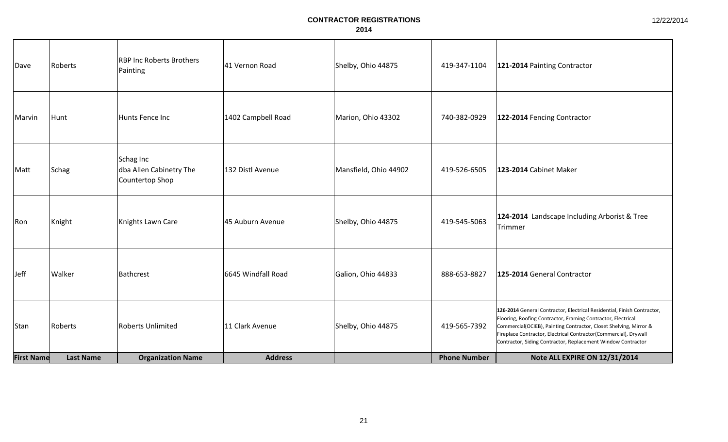| Dave              | Roberts          | <b>RBP Inc Roberts Brothers</b><br>Painting             | 41 Vernon Road     | Shelby, Ohio 44875    | 419-347-1104        | 121-2014 Painting Contractor                                                                                                                                                                                                                                                                                                                     |
|-------------------|------------------|---------------------------------------------------------|--------------------|-----------------------|---------------------|--------------------------------------------------------------------------------------------------------------------------------------------------------------------------------------------------------------------------------------------------------------------------------------------------------------------------------------------------|
| Marvin            | Hunt             | Hunts Fence Inc                                         | 1402 Campbell Road | Marion, Ohio 43302    | 740-382-0929        | 122-2014 Fencing Contractor                                                                                                                                                                                                                                                                                                                      |
| Matt              | Schag            | Schag Inc<br>dba Allen Cabinetry The<br>Countertop Shop | 132 Distl Avenue   | Mansfield, Ohio 44902 | 419-526-6505        | 123-2014 Cabinet Maker                                                                                                                                                                                                                                                                                                                           |
| Ron               | Knight           | Knights Lawn Care                                       | 45 Auburn Avenue   | Shelby, Ohio 44875    | 419-545-5063        | 124-2014 Landscape Including Arborist & Tree<br>Trimmer                                                                                                                                                                                                                                                                                          |
| Jeff              | Walker           | Bathcrest                                               | 6645 Windfall Road | Galion, Ohio 44833    | 888-653-8827        | 125-2014 General Contractor                                                                                                                                                                                                                                                                                                                      |
| Stan              | Roberts          | <b>Roberts Unlimited</b>                                | 11 Clark Avenue    | Shelby, Ohio 44875    | 419-565-7392        | 126-2014 General Contractor, Electrical Residential, Finish Contractor,<br>Flooring, Roofing Contractor, Framing Contractor, Electrical<br>Commercial(OCIEB), Painting Contractor, Closet Shelving, Mirror &<br>Fireplace Contractor, Electrical Contractor(Commercial), Drywall<br>Contractor, Siding Contractor, Replacement Window Contractor |
| <b>First Name</b> | <b>Last Name</b> | <b>Organization Name</b>                                | <b>Address</b>     |                       | <b>Phone Number</b> | Note ALL EXPIRE ON 12/31/2014                                                                                                                                                                                                                                                                                                                    |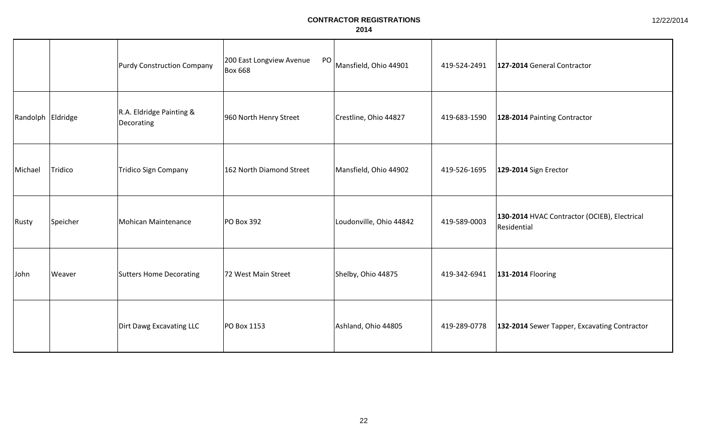|                   |          | Purdy Construction Company             | 200 East Longview Avenue<br>PO<br><b>Box 668</b> | Mansfield, Ohio 44901   | 419-524-2491 | 127-2014 General Contractor                                 |
|-------------------|----------|----------------------------------------|--------------------------------------------------|-------------------------|--------------|-------------------------------------------------------------|
| Randolph Eldridge |          | R.A. Eldridge Painting &<br>Decorating | 960 North Henry Street                           | Crestline, Ohio 44827   | 419-683-1590 | 128-2014 Painting Contractor                                |
| Michael           | Tridico  | Tridico Sign Company                   | 162 North Diamond Street                         | Mansfield, Ohio 44902   | 419-526-1695 | 129-2014 Sign Erector                                       |
| Rusty             | Speicher | Mohican Maintenance                    | <b>PO Box 392</b>                                | Loudonville, Ohio 44842 | 419-589-0003 | 130-2014 HVAC Contractor (OCIEB), Electrical<br>Residential |
| John              | Weaver   | <b>Sutters Home Decorating</b>         | 72 West Main Street                              | Shelby, Ohio 44875      | 419-342-6941 | 131-2014 Flooring                                           |
|                   |          | Dirt Dawg Excavating LLC               | PO Box 1153                                      | Ashland, Ohio 44805     | 419-289-0778 | 132-2014 Sewer Tapper, Excavating Contractor                |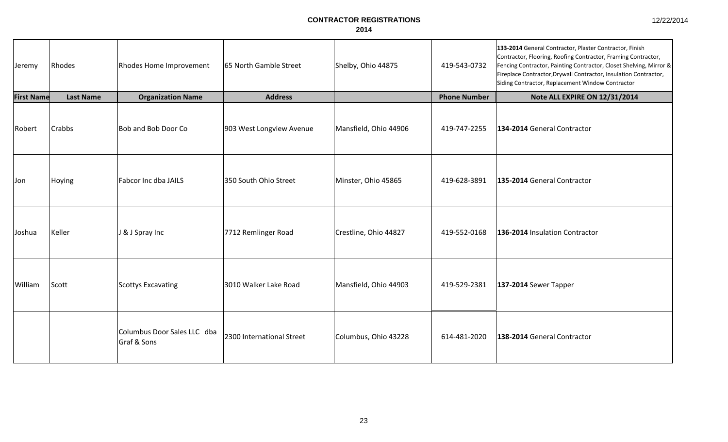| 12/22/2014 |
|------------|
|------------|

| Jeremy            | Rhodes           | Rhodes Home Improvement                    | 65 North Gamble Street    | Shelby, Ohio 44875    | 419-543-0732        | 133-2014 General Contractor, Plaster Contractor, Finish<br>Contractor, Flooring, Roofing Contractor, Framing Contractor,<br>Fencing Contractor, Painting Contractor, Closet Shelving, Mirror &<br>Fireplace Contractor, Drywall Contractor, Insulation Contractor,<br>Siding Contractor, Replacement Window Contractor |
|-------------------|------------------|--------------------------------------------|---------------------------|-----------------------|---------------------|------------------------------------------------------------------------------------------------------------------------------------------------------------------------------------------------------------------------------------------------------------------------------------------------------------------------|
| <b>First Name</b> | <b>Last Name</b> | <b>Organization Name</b>                   | <b>Address</b>            |                       | <b>Phone Number</b> | Note ALL EXPIRE ON 12/31/2014                                                                                                                                                                                                                                                                                          |
| Robert            | <b>Crabbs</b>    | Bob and Bob Door Co                        | 903 West Longview Avenue  | Mansfield, Ohio 44906 | 419-747-2255        | 134-2014 General Contractor                                                                                                                                                                                                                                                                                            |
| Jon               | Hoying           | Fabcor Inc dba JAILS                       | 350 South Ohio Street     | Minster, Ohio 45865   | 419-628-3891        | 135-2014 General Contractor                                                                                                                                                                                                                                                                                            |
| Joshua            | Keller           | J & J Spray Inc                            | 7712 Remlinger Road       | Crestline, Ohio 44827 | 419-552-0168        | 136-2014 Insulation Contractor                                                                                                                                                                                                                                                                                         |
| William           | Scott            | Scottys Excavating                         | 3010 Walker Lake Road     | Mansfield, Ohio 44903 | 419-529-2381        | $137-2014$ Sewer Tapper                                                                                                                                                                                                                                                                                                |
|                   |                  | Columbus Door Sales LLC dba<br>Graf & Sons | 2300 International Street | Columbus, Ohio 43228  | 614-481-2020        | 138-2014 General Contractor                                                                                                                                                                                                                                                                                            |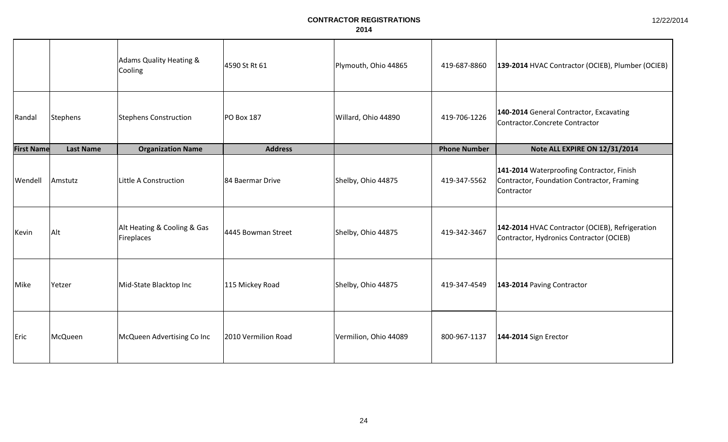|                   |                  | <b>Adams Quality Heating &amp;</b><br>Cooling | 4590 St Rt 61       | Plymouth, Ohio 44865  | 419-687-8860        | 139-2014 HVAC Contractor (OCIEB), Plumber (OCIEB)                                                     |
|-------------------|------------------|-----------------------------------------------|---------------------|-----------------------|---------------------|-------------------------------------------------------------------------------------------------------|
| Randal            | Stephens         | <b>Stephens Construction</b>                  | <b>PO Box 187</b>   | Willard, Ohio 44890   | 419-706-1226        | 140-2014 General Contractor, Excavating<br>Contractor.Concrete Contractor                             |
| <b>First Name</b> | <b>Last Name</b> | <b>Organization Name</b>                      | <b>Address</b>      |                       | <b>Phone Number</b> | Note ALL EXPIRE ON 12/31/2014                                                                         |
| Wendell           | Amstutz          | Little A Construction                         | 84 Baermar Drive    | Shelby, Ohio 44875    | 419-347-5562        | 141-2014 Waterproofing Contractor, Finish<br>Contractor, Foundation Contractor, Framing<br>Contractor |
| Kevin             | Alt              | Alt Heating & Cooling & Gas<br>Fireplaces     | 4445 Bowman Street  | Shelby, Ohio 44875    | 419-342-3467        | 142-2014 HVAC Contractor (OCIEB), Refrigeration<br>Contractor, Hydronics Contractor (OCIEB)           |
| Mike              | Yetzer           | Mid-State Blacktop Inc                        | 115 Mickey Road     | Shelby, Ohio 44875    | 419-347-4549        | 143-2014 Paving Contractor                                                                            |
| Eric              | McQueen          | McQueen Advertising Co Inc                    | 2010 Vermilion Road | Vermilion, Ohio 44089 | 800-967-1137        | 144-2014 Sign Erector                                                                                 |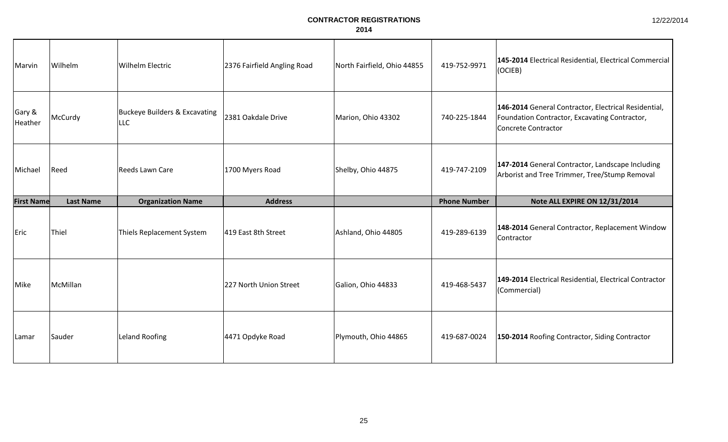| Marvin            | Wilhelm          | <b>Wilhelm Electric</b>                                | 2376 Fairfield Angling Road | North Fairfield, Ohio 44855 | 419-752-9971        | 145-2014 Electrical Residential, Electrical Commercial<br>$ $ (OCIEB)                                                        |
|-------------------|------------------|--------------------------------------------------------|-----------------------------|-----------------------------|---------------------|------------------------------------------------------------------------------------------------------------------------------|
| Gary &<br>Heather | McCurdy          | <b>Buckeye Builders &amp; Excavating</b><br><b>LLC</b> | 2381 Oakdale Drive          | Marion, Ohio 43302          | 740-225-1844        | 146-2014 General Contractor, Electrical Residential,<br>Foundation Contractor, Excavating Contractor,<br>Concrete Contractor |
| Michael           | Reed             | Reeds Lawn Care                                        | 1700 Myers Road             | Shelby, Ohio 44875          | 419-747-2109        | 147-2014 General Contractor, Landscape Including<br>Arborist and Tree Trimmer, Tree/Stump Removal                            |
| <b>First Name</b> | <b>Last Name</b> | <b>Organization Name</b>                               | <b>Address</b>              |                             | <b>Phone Number</b> | Note ALL EXPIRE ON 12/31/2014                                                                                                |
| Eric              | Thiel            | Thiels Replacement System                              | 419 East 8th Street         | Ashland, Ohio 44805         | 419-289-6139        | 148-2014 General Contractor, Replacement Window<br>Contractor                                                                |
| Mike              | McMillan         |                                                        | 227 North Union Street      | Galion, Ohio 44833          | 419-468-5437        | 149-2014 Electrical Residential, Electrical Contractor<br>(Commercial)                                                       |
| Lamar             |                  |                                                        |                             |                             |                     | 150-2014 Roofing Contractor, Siding Contractor                                                                               |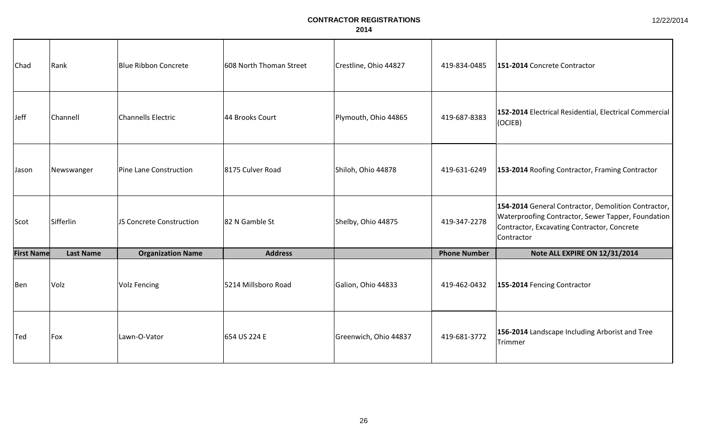| Chad              | Rank             | <b>Blue Ribbon Concrete</b> | 608 North Thoman Street | Crestline, Ohio 44827 | 419-834-0485        | 151-2014 Concrete Contractor                                                                                                                                           |
|-------------------|------------------|-----------------------------|-------------------------|-----------------------|---------------------|------------------------------------------------------------------------------------------------------------------------------------------------------------------------|
| Jeff              | Channell         | <b>Channells Electric</b>   | 44 Brooks Court         | Plymouth, Ohio 44865  | 419-687-8383        | 152-2014 Electrical Residential, Electrical Commercial<br>(OCIEB)                                                                                                      |
| Jason             | Newswanger       | Pine Lane Construction      | 8175 Culver Road        | Shiloh, Ohio 44878    | 419-631-6249        | 153-2014 Roofing Contractor, Framing Contractor                                                                                                                        |
| Scot              | Sifferlin        | JS Concrete Construction    | 82 N Gamble St          | Shelby, Ohio 44875    | 419-347-2278        | 154-2014 General Contractor, Demolition Contractor,<br>Waterproofing Contractor, Sewer Tapper, Foundation<br>Contractor, Excavating Contractor, Concrete<br>Contractor |
| <b>First Name</b> | <b>Last Name</b> | <b>Organization Name</b>    | <b>Address</b>          |                       | <b>Phone Number</b> | Note ALL EXPIRE ON 12/31/2014                                                                                                                                          |
| <b>Ben</b>        | Volz             | <b>Volz Fencing</b>         | 5214 Millsboro Road     | Galion, Ohio 44833    | 419-462-0432        | 155-2014 Fencing Contractor                                                                                                                                            |
| Ted               | $ F$ ox          | Lawn-O-Vator                | 654 US 224 E            | Greenwich, Ohio 44837 | 419-681-3772        | 156-2014 Landscape Including Arborist and Tree<br>Trimmer                                                                                                              |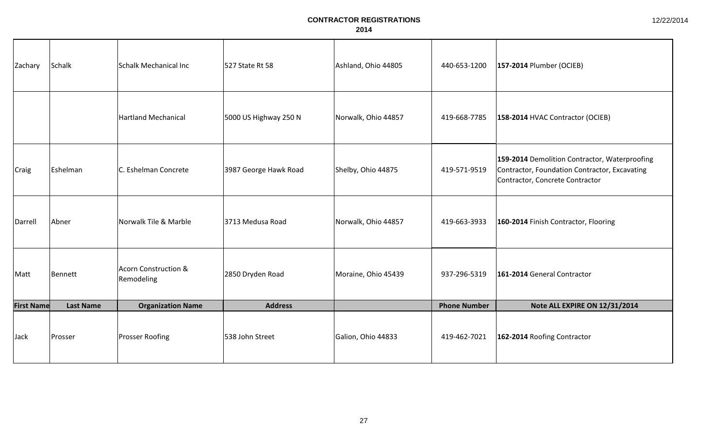| Zachary           | Schalk           | Schalk Mechanical Inc              | 527 State Rt 58       | Ashland, Ohio 44805 | 440-653-1200        | 157-2014 Plumber (OCIEB)                                                                                                          |
|-------------------|------------------|------------------------------------|-----------------------|---------------------|---------------------|-----------------------------------------------------------------------------------------------------------------------------------|
|                   |                  | <b>Hartland Mechanical</b>         | 5000 US Highway 250 N | Norwalk, Ohio 44857 | 419-668-7785        | 158-2014 HVAC Contractor (OCIEB)                                                                                                  |
| Craig             | Eshelman         | C. Eshelman Concrete               | 3987 George Hawk Road | Shelby, Ohio 44875  | 419-571-9519        | 159-2014 Demolition Contractor, Waterproofing<br>Contractor, Foundation Contractor, Excavating<br>Contractor, Concrete Contractor |
| Darrell           | Abner            | Norwalk Tile & Marble              | 3713 Medusa Road      | Norwalk, Ohio 44857 | 419-663-3933        | 160-2014 Finish Contractor, Flooring                                                                                              |
| Matt              | Bennett          | Acorn Construction &<br>Remodeling | 2850 Dryden Road      | Moraine, Ohio 45439 | 937-296-5319        | 161-2014 General Contractor                                                                                                       |
| <b>First Name</b> | <b>Last Name</b> | <b>Organization Name</b>           | <b>Address</b>        |                     | <b>Phone Number</b> | Note ALL EXPIRE ON 12/31/2014                                                                                                     |
| Jack              | Prosser          | <b>Prosser Roofing</b>             | 538 John Street       | Galion, Ohio 44833  | 419-462-7021        | 162-2014 Roofing Contractor                                                                                                       |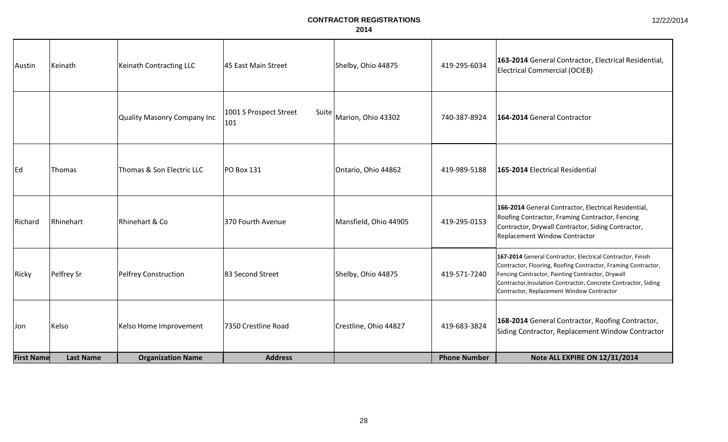| <b>First Name</b> | <b>Last Name</b> | <b>Organization Name</b>    | <b>Address</b>                         |                       | <b>Phone Number</b> | Note ALL EXPIRE ON 12/31/2014                                                                                                                                                                                                                                                                  |
|-------------------|------------------|-----------------------------|----------------------------------------|-----------------------|---------------------|------------------------------------------------------------------------------------------------------------------------------------------------------------------------------------------------------------------------------------------------------------------------------------------------|
| IJon              | Kelso            | Kelso Home Improvement      | 7350 Crestline Road                    | Crestline, Ohio 44827 | 419-683-3824        | 168-2014 General Contractor, Roofing Contractor,<br>Siding Contractor, Replacement Window Contractor                                                                                                                                                                                           |
| Ricky             | Pelfrey Sr       | Pelfrey Construction        | 83 Second Street                       | Shelby, Ohio 44875    | 419-571-7240        | 167-2014 General Contractor, Electrical Contractor, Finish<br>Contractor, Flooring, Roofing Contractor, Framing Contractor,<br>Fencing Contractor, Painting Contractor, Drywall<br>Contractor, Insulation Contractor, Concrete Contractor, Siding<br>Contractor, Replacement Window Contractor |
| Richard           | Rhinehart        | Rhinehart & Co              | 370 Fourth Avenue                      | Mansfield, Ohio 44905 | 419-295-0153        | 166-2014 General Contractor, Electrical Residential,<br>Roofing Contractor, Framing Contractor, Fencing<br>Contractor, Drywall Contractor, Siding Contractor,<br><b>Replacement Window Contractor</b>                                                                                          |
| Ed                | <b>Thomas</b>    | Thomas & Son Electric LLC   | <b>PO Box 131</b>                      | Ontario, Ohio 44862   | 419-989-5188        | 165-2014 Electrical Residential                                                                                                                                                                                                                                                                |
|                   |                  | Quality Masonry Company Inc | 1001 S Prospect Street<br>Suite<br>101 | Marion, Ohio 43302    | 740-387-8924        | 164-2014 General Contractor                                                                                                                                                                                                                                                                    |
| Austin            | Keinath          | Keinath Contracting LLC     | 45 East Main Street                    | Shelby, Ohio 44875    | 419-295-6034        | 163-2014 General Contractor, Electrical Residential,<br>Electrical Commercial (OCIEB)                                                                                                                                                                                                          |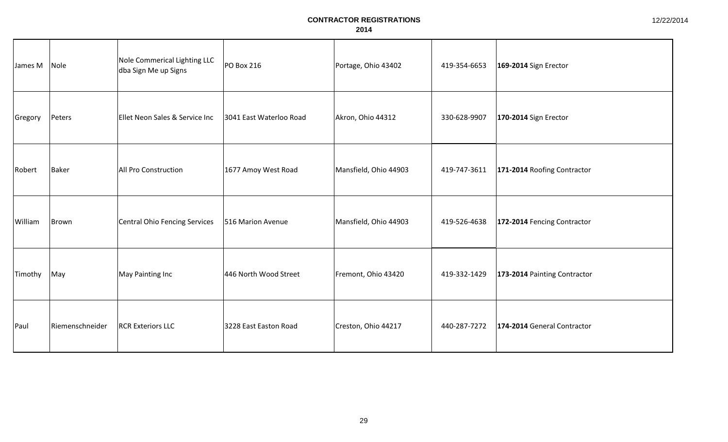| James M | Nole            | Nole Commerical Lighting LLC<br>dba Sign Me up Signs | PO Box 216              | Portage, Ohio 43402   | 419-354-6653 | 169-2014 Sign Erector        |
|---------|-----------------|------------------------------------------------------|-------------------------|-----------------------|--------------|------------------------------|
| Gregory | Peters          | Ellet Neon Sales & Service Inc                       | 3041 East Waterloo Road | Akron, Ohio 44312     | 330-628-9907 | 170-2014 Sign Erector        |
| Robert  | Baker           | All Pro Construction                                 | 1677 Amoy West Road     | Mansfield, Ohio 44903 | 419-747-3611 | 171-2014 Roofing Contractor  |
| William | Brown           | <b>Central Ohio Fencing Services</b>                 | 516 Marion Avenue       | Mansfield, Ohio 44903 | 419-526-4638 | 172-2014 Fencing Contractor  |
| Timothy | May             | May Painting Inc                                     | 446 North Wood Street   | Fremont, Ohio 43420   | 419-332-1429 | 173-2014 Painting Contractor |
| Paul    | Riemenschneider | <b>RCR Exteriors LLC</b>                             | 3228 East Easton Road   | Creston, Ohio 44217   | 440-287-7272 | 174-2014 General Contractor  |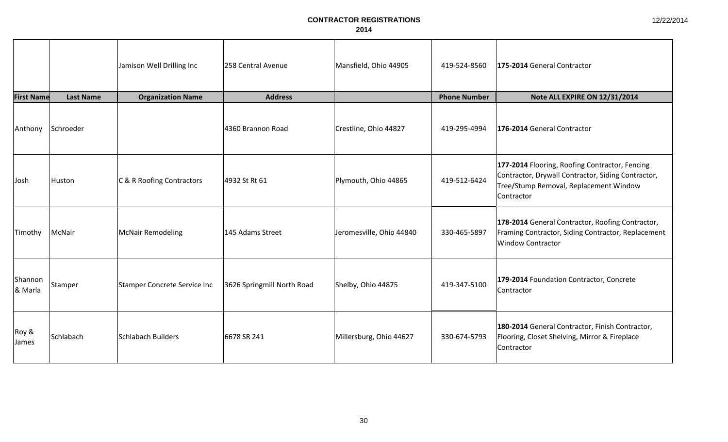|                       |                  | Jamison Well Drilling Inc    | 258 Central Avenue         | Mansfield, Ohio 44905    | 419-524-8560        | 175-2014 General Contractor                                                                                                                                  |
|-----------------------|------------------|------------------------------|----------------------------|--------------------------|---------------------|--------------------------------------------------------------------------------------------------------------------------------------------------------------|
| <b>First Name</b>     | <b>Last Name</b> | <b>Organization Name</b>     | <b>Address</b>             |                          | <b>Phone Number</b> | Note ALL EXPIRE ON 12/31/2014                                                                                                                                |
| Anthony               | Schroeder        |                              | 4360 Brannon Road          | Crestline, Ohio 44827    | 419-295-4994        | 176-2014 General Contractor                                                                                                                                  |
| Josh                  | Huston           | C & R Roofing Contractors    | 4932 St Rt 61              | Plymouth, Ohio 44865     | 419-512-6424        | 177-2014 Flooring, Roofing Contractor, Fencing<br>Contractor, Drywall Contractor, Siding Contractor,<br>Tree/Stump Removal, Replacement Window<br>Contractor |
| Timothy               | McNair           | <b>McNair Remodeling</b>     | 145 Adams Street           | Jeromesville, Ohio 44840 | 330-465-5897        | 178-2014 General Contractor, Roofing Contractor,<br>Framing Contractor, Siding Contractor, Replacement<br><b>Window Contractor</b>                           |
| Shannon<br>& Marla    | Stamper          | Stamper Concrete Service Inc | 3626 Springmill North Road | Shelby, Ohio 44875       | 419-347-5100        | 179-2014 Foundation Contractor, Concrete<br>Contractor                                                                                                       |
| Roy &<br><b>James</b> | Schlabach        | Schlabach Builders           | 6678 SR 241                | Millersburg, Ohio 44627  | 330-674-5793        | 180-2014 General Contractor, Finish Contractor,<br>Flooring, Closet Shelving, Mirror & Fireplace<br>Contractor                                               |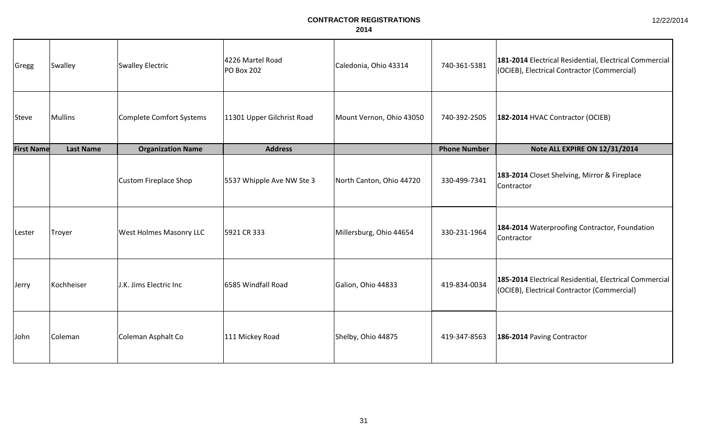| Gregg             | Swalley          | <b>Swalley Electric</b>         | 4226 Martel Road<br><b>PO Box 202</b> | Caledonia, Ohio 43314    | 740-361-5381        | 181-2014 Electrical Residential, Electrical Commercial<br>(OCIEB), Electrical Contractor (Commercial) |
|-------------------|------------------|---------------------------------|---------------------------------------|--------------------------|---------------------|-------------------------------------------------------------------------------------------------------|
| Steve             | Mullins          | <b>Complete Comfort Systems</b> | 11301 Upper Gilchrist Road            | Mount Vernon, Ohio 43050 | 740-392-2505        | 182-2014 HVAC Contractor (OCIEB)                                                                      |
| <b>First Name</b> | <b>Last Name</b> | <b>Organization Name</b>        | <b>Address</b>                        |                          | <b>Phone Number</b> | Note ALL EXPIRE ON 12/31/2014                                                                         |
|                   |                  | Custom Fireplace Shop           | 5537 Whipple Ave NW Ste 3             | North Canton, Ohio 44720 | 330-499-7341        | 183-2014 Closet Shelving, Mirror & Fireplace<br>Contractor                                            |
| Lester            | Troyer           | <b>West Holmes Masonry LLC</b>  | 5921 CR 333                           | Millersburg, Ohio 44654  | 330-231-1964        | 184-2014 Waterproofing Contractor, Foundation<br>Contractor                                           |
| Jerry             | Kochheiser       | J.K. Jims Electric Inc          | 6585 Windfall Road                    | Galion, Ohio 44833       | 419-834-0034        | 185-2014 Electrical Residential, Electrical Commercial<br>(OCIEB), Electrical Contractor (Commercial) |
| John              | Coleman          | Coleman Asphalt Co              | 111 Mickey Road                       | Shelby, Ohio 44875       | 419-347-8563        | 186-2014 Paving Contractor                                                                            |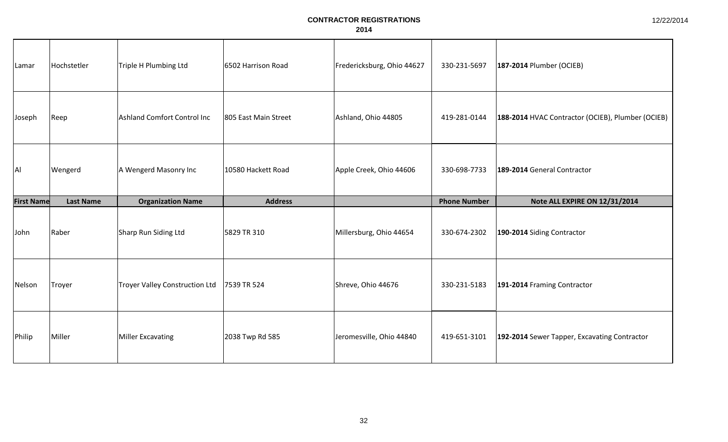| Lamar             | Hochstetler      | Triple H Plumbing Ltd                 | 6502 Harrison Road   | Fredericksburg, Ohio 44627 | 330-231-5697        | 187-2014 Plumber (OCIEB)                          |
|-------------------|------------------|---------------------------------------|----------------------|----------------------------|---------------------|---------------------------------------------------|
| Joseph            | Reep             | Ashland Comfort Control Inc           | 805 East Main Street | Ashland, Ohio 44805        | 419-281-0144        | 188-2014 HVAC Contractor (OCIEB), Plumber (OCIEB) |
| AI                | Wengerd          | A Wengerd Masonry Inc                 | 10580 Hackett Road   | Apple Creek, Ohio 44606    | 330-698-7733        | 189-2014 General Contractor                       |
| <b>First Name</b> | <b>Last Name</b> | <b>Organization Name</b>              | <b>Address</b>       |                            | <b>Phone Number</b> | Note ALL EXPIRE ON 12/31/2014                     |
| John              | Raber            | Sharp Run Siding Ltd                  | 5829 TR 310          | Millersburg, Ohio 44654    | 330-674-2302        | 190-2014 Siding Contractor                        |
| Nelson            | Troyer           | <b>Troyer Valley Construction Ltd</b> | 7539 TR 524          | Shreve, Ohio 44676         | 330-231-5183        | 191-2014 Framing Contractor                       |
|                   |                  |                                       |                      |                            |                     |                                                   |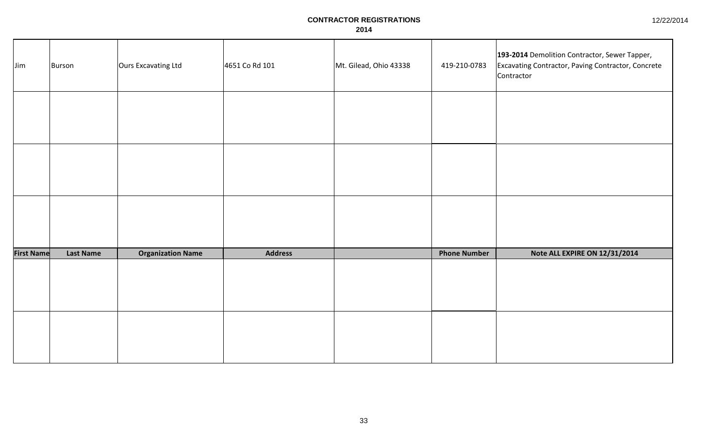| Jim               | Burson           | Ours Excavating Ltd      | 4651 Co Rd 101 | Mt. Gilead, Ohio 43338 | 419-210-0783        | 193-2014 Demolition Contractor, Sewer Tapper,<br>Excavating Contractor, Paving Contractor, Concrete<br>Contractor |
|-------------------|------------------|--------------------------|----------------|------------------------|---------------------|-------------------------------------------------------------------------------------------------------------------|
|                   |                  |                          |                |                        |                     |                                                                                                                   |
|                   |                  |                          |                |                        |                     |                                                                                                                   |
|                   |                  |                          |                |                        |                     |                                                                                                                   |
| <b>First Name</b> | <b>Last Name</b> | <b>Organization Name</b> | <b>Address</b> |                        | <b>Phone Number</b> | Note ALL EXPIRE ON 12/31/2014                                                                                     |
|                   |                  |                          |                |                        |                     |                                                                                                                   |
|                   |                  |                          |                |                        |                     |                                                                                                                   |